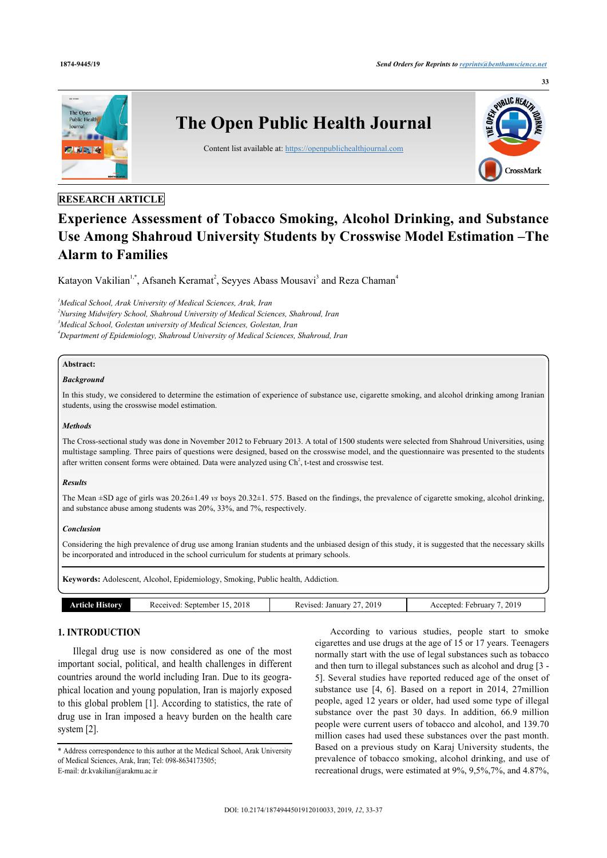

## **RESEARCH ARTICLE**

# **Experience Assessment of Tobacco Smoking, Alcohol Drinking, and Substance Use Among Shahroud University Students by Crosswise Model Estimation –The Alarm to Families**

Katayon Vakilian<sup>[1](#page-0-0),[\\*](#page-0-1)</sup>, Afsaneh Keramat<sup>[2](#page-0-2)</sup>, Seyyes Abass Mousavi<sup>[3](#page-0-3)</sup> and Reza Chaman<sup>[4](#page-0-4)</sup>

<span id="page-0-4"></span><span id="page-0-3"></span><span id="page-0-2"></span><span id="page-0-0"></span>*Medical School, Arak University of Medical Sciences, Arak, Iran Nursing Midwifery School, Shahroud University of Medical Sciences, Shahroud, Iran Medical School, Golestan university of Medical Sciences, Golestan, Iran Department of Epidemiology, Shahroud University of Medical Sciences, Shahroud, Iran*

#### **Abstract:**

#### *Background*

In this study, we considered to determine the estimation of experience of substance use, cigarette smoking, and alcohol drinking among Iranian students, using the crosswise model estimation.

#### *Methods*

The Cross-sectional study was done in November 2012 to February 2013. A total of 1500 students were selected from Shahroud Universities, using multistage sampling. Three pairs of questions were designed, based on the crosswise model, and the questionnaire was presented to the students after written consent forms were obtained. Data were analyzed using  $\text{Ch}^2$ , t-test and crosswise test.

#### *Results*

The Mean ±SD age of girls was 20.26±1.49 *vs* boys 20.32±1. 575. Based on the findings, the prevalence of cigarette smoking, alcohol drinking, and substance abuse among students was 20%, 33%, and 7%, respectively.

#### *Conclusion*

Considering the high prevalence of drug use among Iranian students and the unbiased design of this study, it is suggested that the necessary skills be incorporated and introduced in the school curriculum for students at primary schools.

**Keywords:** Adolescent, Alcohol, Epidemiology, Smoking, Public health, Addiction. **Article History** Received: September 15, 2018 Revised: January 27, 2019 Accepted: February 7, 2019

#### **1. INTRODUCTION**

Illegal drug use is now considered as one of the most important social, political, and health challenges in different countries around the world including Iran. Due to its geographical location and young population, Iran is majorly exposed to this global problem [[1](#page-3-0)]. According to statistics, the rate of drug use in Iran imposed a heavy burden on the health care system [[2](#page-3-1)].

According to various studies, people start to smoke cigarettes and use drugs at the age of 15 or 17 years. Teenagers normally start with the use of legal substances such as tobacco and then turn to illegal substances such as alcohol and drug [[3](#page-3-2) - [5\]](#page-3-3). Several studies have reported reduced age of the onset of substance use [\[4,](#page-3-4) [6\]](#page-3-5). Based on a report in 2014, 27million people, aged 12 years or older, had used some type of illegal substance over the past 30 days. In addition, 66.9 million people were current users of tobacco and alcohol, and 139.70 million cases had used these substances over the past month. Based on a previous study on Karaj University students, the prevalence of tobacco smoking, alcohol drinking, and use of recreational drugs, were estimated at 9%, 9,5%,7%, and 4.87%,

<span id="page-0-1"></span><sup>\*</sup> Address correspondence to this author at the Medical School, Arak University of Medical Sciences, Arak, Iran; Tel: 098-8634173505; E-mail: [dr.kvakilian@arakmu.ac.ir](mailto:dr.kvakilian@arakmu.ac.ir)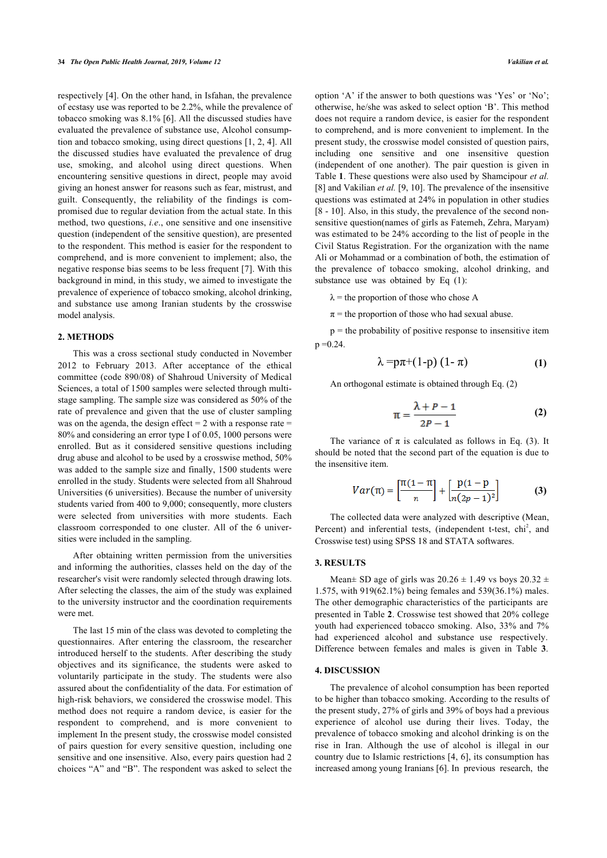respectively [[4](#page-3-4)]. On the other hand, in Isfahan, the prevalence of ecstasy use was reported to be 2.2%, while the prevalence of tobacco smoking was 8.1% [[6\]](#page-3-5). All the discussed studies have evaluated the prevalence of substance use, Alcohol consumption and tobacco smoking, using direct questions [\[1,](#page-3-0) [2](#page-3-1), [4\]](#page-3-4). All the discussed studies have evaluated the prevalence of drug use, smoking, and alcohol using direct questions. When encountering sensitive questions in direct, people may avoid giving an honest answer for reasons such as fear, mistrust, and guilt. Consequently, the reliability of the findings is compromised due to regular deviation from the actual state. In this method, two questions, *i.e*., one sensitive and one insensitive question (independent of the sensitive question), are presented to the respondent. This method is easier for the respondent to comprehend, and is more convenient to implement; also, the negative response bias seems to be less frequent [[7](#page-3-6)]. With this background in mind, in this study, we aimed to investigate the prevalence of experience of tobacco smoking, alcohol drinking, and substance use among Iranian students by the crosswise model analysis.

#### **2. METHODS**

This was a cross sectional study conducted in November 2012 to February 2013. After acceptance of the ethical committee (code 890/08) of Shahroud University of Medical Sciences, a total of 1500 samples were selected through multistage sampling. The sample size was considered as 50% of the rate of prevalence and given that the use of cluster sampling was on the agenda, the design effect  $= 2$  with a response rate  $=$ 80% and considering an error type I of 0.05, 1000 persons were enrolled. But as it considered sensitive questions including drug abuse and alcohol to be used by a crosswise method, 50% was added to the sample size and finally, 1500 students were enrolled in the study. Students were selected from all Shahroud Universities (6 universities). Because the number of university students varied from 400 to 9,000; consequently, more clusters were selected from universities with more students. Each classroom corresponded to one cluster. All of the 6 universities were included in the sampling.

After obtaining written permission from the universities and informing the authorities, classes held on the day of the researcher's visit were randomly selected through drawing lots. After selecting the classes, the aim of the study was explained to the university instructor and the coordination requirements were met.

The last 15 min of the class was devoted to completing the questionnaires. After entering the classroom, the researcher introduced herself to the students. After describing the study objectives and its significance, the students were asked to voluntarily participate in the study. The students were also assured about the confidentiality of the data. For estimation of high-risk behaviors, we considered the crosswise model. This method does not require a random device, is easier for the respondent to comprehend, and is more convenient to implement In the present study, the crosswise model consisted of pairs question for every sensitive question, including one sensitive and one insensitive. Also, every pairs question had 2 choices "A" and "B". The respondent was asked to select the

option 'A' if the answer to both questions was 'Yes' or 'No'; otherwise, he/she was asked to select option 'B'. This method does not require a random device, is easier for the respondent to comprehend, and is more convenient to implement. In the present study, the crosswise model consisted of question pairs, including one sensitive and one insensitive question (independent of one another). The pair question is given in Table **[1](#page-2-0)**. These questions were also used by Shamcipour *et al.* [[8](#page-3-7)] and Vakilian *et al.* [[9](#page-3-8), [10\]](#page-3-9). The prevalence of the insensitive questions was estimated at 24% in population in other studies [[8](#page-3-7) - [10\]](#page-3-9). Also, in this study, the prevalence of the second nonsensitive question(names of girls as Fatemeh, Zehra, Maryam) was estimated to be 24% according to the list of people in the Civil Status Registration. For the organization with the name Ali or Mohammad or a combination of both, the estimation of the prevalence of tobacco smoking, alcohol drinking, and substance use was obtained by Eq  $(1)$ :

 $\lambda$  = the proportion of those who chose A

 $\pi$  = the proportion of those who had sexual abuse.

 $p =$  the probability of positive response to insensitive item  $p = 0.24$ .

$$
\lambda = p\pi + (1-p) (1-\pi) \tag{1}
$$

An orthogonal estimate is obtained through Eq. (2)

$$
\pi = \frac{\lambda + P - 1}{2P - 1} \tag{2}
$$

The variance of  $\pi$  is calculated as follows in Eq. (3). It should be noted that the second part of the equation is due to the insensitive item.

$$
Var(\pi) = \left[\frac{\pi(1-\pi)}{n}\right] + \left[\frac{p(1-p)}{n(2p-1)^2}\right]
$$
 (3)

The collected data were analyzed with descriptive (Mean, Percent) and inferential tests, (independent t-test,  $\chi$ chi<sup>2</sup>, and Crosswise test) using SPSS 18 and STATA softwares.

### **3. RESULTS**

Mean $\pm$  SD age of girls was 20.26  $\pm$  1.49 vs boys 20.32  $\pm$ 1.575, with 919(62.1%) being females and 539(36.1%) males. The other demographic characteristics of the participants are presented in Table **[2](#page-2-1)**. Crosswise test showed that 20% college youth had experienced tobacco smoking. Also, 33% and 7% had experienced alcohol and substance use respectively. Difference between females and males is given in Table**3**.

#### **4. DISCUSSION**

The prevalence of alcohol consumption has been reported to be higher than tobacco smoking. According to the results of the present study, 27% of girls and 39% of boys had a previous experience of alcohol use during their lives. Today, the prevalence of tobacco smoking and alcohol drinking is on the rise in Iran. Although the use of alcohol is illegal in our country due to Islamic restrictions [\[4,](#page-3-4) [6\]](#page-3-5), its consumption has increased among young Iranians [[6](#page-3-5)]. In previous research, the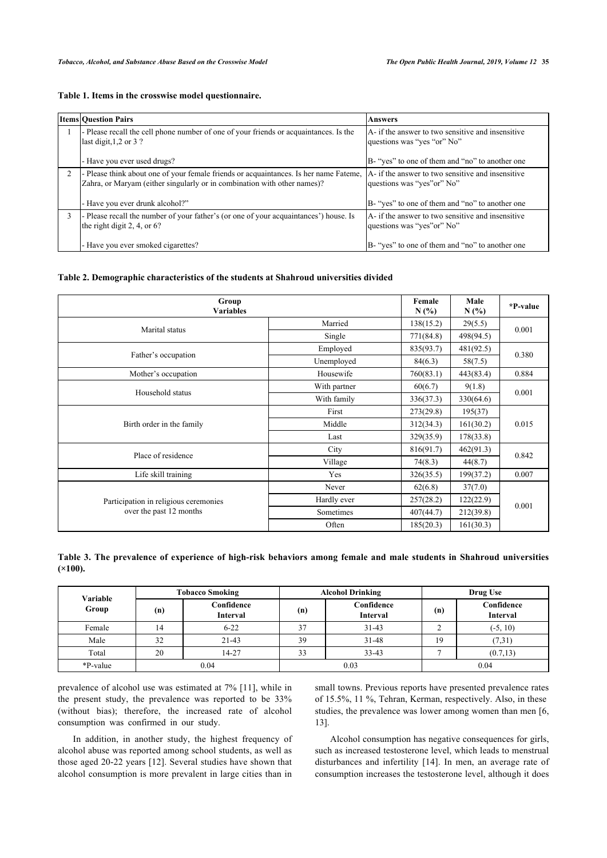<span id="page-2-0"></span>

| Table 1. Items in the crosswise model questionnaire. |  |  |
|------------------------------------------------------|--|--|
|------------------------------------------------------|--|--|

| <b>Items Ouestion Pairs</b>                                                                                                                                       | <b>Answers</b>                                                                   |
|-------------------------------------------------------------------------------------------------------------------------------------------------------------------|----------------------------------------------------------------------------------|
| - Please recall the cell phone number of one of your friends or acquaintances. Is the<br>last digit, $1,2$ or $3$ ?                                               | A- if the answer to two sensitive and insensitive<br>questions was "yes "or" No" |
| - Have you ever used drugs?                                                                                                                                       | B- "yes" to one of them and "no" to another one                                  |
| - Please think about one of your female friends or acquaintances. Is her name Fateme,<br>Zahra, or Maryam (either singularly or in combination with other names)? | A- if the answer to two sensitive and insensitive<br>questions was "yes" or" No" |
| - Have you ever drunk alcohol?"                                                                                                                                   | B- "yes" to one of them and "no" to another one                                  |
| - Please recall the number of your father's (or one of your acquaintances') house. Is<br>the right digit 2, 4, or $6$ ?                                           | A- if the answer to two sensitive and insensitive<br>questions was "yes" or" No" |
| - Have you ever smoked cigarettes?                                                                                                                                | B- "yes" to one of them and "no" to another one                                  |

#### <span id="page-2-1"></span>**Table 2. Demographic characteristics of the students at Shahroud universities divided**

| Group<br><b>Variables</b>             |              |           | Male<br>N(%        | *P-value |  |
|---------------------------------------|--------------|-----------|--------------------|----------|--|
| Marital status                        | Married      | 138(15.2) | 29(5.5)            | 0.001    |  |
|                                       | Single       | 771(84.8) | 498(94.5)          |          |  |
|                                       | Employed     | 835(93.7) | 481(92.5)          | 0.380    |  |
| Father's occupation                   | Unemployed   | 84(6.3)   | 58(7.5)            |          |  |
| Mother's occupation                   | Housewife    | 760(83.1) | 0.884<br>443(83.4) |          |  |
|                                       | With partner | 60(6.7)   | 9(1.8)             | 0.001    |  |
| Household status                      | With family  | 336(37.3) | 330(64.6)          |          |  |
|                                       | First        | 273(29.8) | 195(37)            | 0.015    |  |
| Birth order in the family             | Middle       | 312(34.3) | 161(30.2)          |          |  |
|                                       | Last         | 329(35.9) | 178(33.8)          |          |  |
| Place of residence                    | City         | 816(91.7) | 462(91.3)          | 0.842    |  |
|                                       | Village      | 74(8.3)   | 44(8.7)            |          |  |
| Life skill training                   | Yes          | 326(35.5) | 199(37.2)          | 0.007    |  |
|                                       | Never        | 62(6.8)   | 37(7.0)            | 0.001    |  |
| Participation in religious ceremonies | Hardly ever  | 257(28.2) | 122(22.9)          |          |  |
| over the past 12 months               | Sometimes    | 407(44.7) | 212(39.8)          |          |  |
|                                       | Often        | 185(20.3) | 161(30.3)          |          |  |

<span id="page-2-2"></span>**Table 3. The prevalence of experience of high-risk behaviors among female and male students in Shahroud universities (×100).**

| Variable | <b>Tobacco Smoking</b> |                               | <b>Alcohol Drinking</b> |                               | Drug Use |                               |
|----------|------------------------|-------------------------------|-------------------------|-------------------------------|----------|-------------------------------|
| Group    | (n)                    | Confidence<br><b>Interval</b> | (n)                     | Confidence<br><b>Interval</b> | (n)      | Confidence<br><b>Interval</b> |
| Female   | 14                     | $6 - 22$                      | 37                      | $31 - 43$                     |          | $(-5, 10)$                    |
| Male     | 32                     | $21 - 43$                     | 39                      | $31 - 48$                     | 19       | (7,31)                        |
| Total    | 20                     | 14-27                         | 33                      | $33 - 43$                     |          | (0.7, 13)                     |
| *P-value |                        | 0.04<br>0.04<br>0.03          |                         |                               |          |                               |

prevalence of alcohol use was estimated at 7% [\[11\]](#page-3-10), while in the present study, the prevalence was reported to be 33% (without bias); therefore, the increased rate of alcohol consumption was confirmed in our study.

In addition, in another study, the highest frequency of alcohol abuse was reported among school students, as well as those aged 20-22 years [[12](#page-3-11)]. Several studies have shown that alcohol consumption is more prevalent in large cities than in

small towns. Previous reports have presented prevalence rates of 15.5%, 11 %, Tehran, Kerman, respectively. Also, in these studies, the prevalence was lower among women than men [[6](#page-3-5), [13\]](#page-4-0).

Alcohol consumption has negative consequences for girls, such as increased testosterone level, which leads to menstrual disturbances and infertility[[14\]](#page-4-1). In men, an average rate of consumption increases the testosterone level, although it does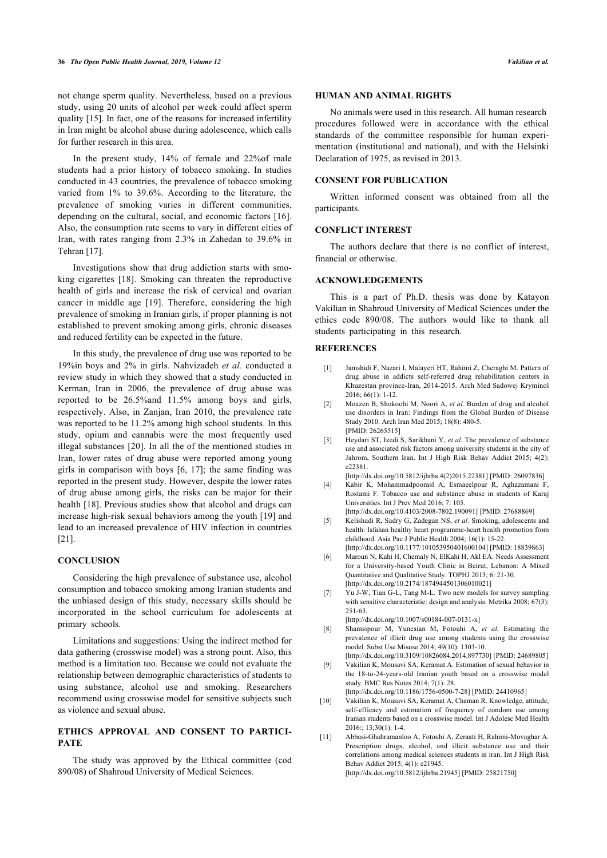not change sperm quality. Nevertheless, based on a previous study, using 20 units of alcohol per week could affect sperm quality [[15\]](#page-4-2). In fact, one of the reasons for increased infertility in Iran might be alcohol abuse during adolescence, which calls for further research in this area.

In the present study, 14% of female and 22%of male students had a prior history of tobacco smoking. In studies conducted in 43 countries, the prevalence of tobacco smoking varied from 1% to 39.6%. According to the literature, the prevalence of smoking varies in different communities, depending on the cultural, social, and economic factors [[16\]](#page-4-3). Also, the consumption rate seems to vary in different cities of Iran, with rates ranging from 2.3% in Zahedan to 39.6% in Tehran [\[17](#page-4-4)].

Investigations show that drug addiction starts with smoking cigarettes [\[18](#page-4-0)]. Smoking can threaten the reproductive health of girls and increase the risk of cervical and ovarian cancer in middle age[[19](#page-4-5)]. Therefore, considering the high prevalence of smoking in Iranian girls, if proper planning is not established to prevent smoking among girls, chronic diseases and reduced fertility can be expected in the future.

<span id="page-3-2"></span><span id="page-3-1"></span><span id="page-3-0"></span>In this study, the prevalence of drug use was reported to be 19%in boys and 2% in girls. Nahvizadeh *et al.* conducted a review study in which they showed that a study conducted in Kerman, Iran in 2006, the prevalence of drug abuse was reported to be 26.5%and 11.5% among boys and girls, respectively. Also, in Zanjan, Iran 2010, the prevalence rate was reported to be 11.2% among high school students. In this study, opium and cannabis were the most frequently used illegal substances [[20\]](#page-4-6). In all the of the mentioned studies in Iran, lower rates of drug abuse were reported among young girls in comparison with boys [[6](#page-3-5), [17](#page-4-4)]; the same finding was reported in the present study. However, despite the lower rates of drug abuse among girls, the risks can be major for their health [[18](#page-4-0)]. Previous studies show that alcohol and drugs can increase high-risk sexual behaviors among the youth [\[19](#page-4-5)] and lead to an increased prevalence of HIV infection in countries [[21\]](#page-4-7).

#### <span id="page-3-5"></span><span id="page-3-4"></span><span id="page-3-3"></span>**CONCLUSION**

<span id="page-3-6"></span>Considering the high prevalence of substance use, alcohol consumption and tobacco smoking among Iranian students and the unbiased design of this study, necessary skills should be incorporated in the school curriculum for adolescents at primary schools.

<span id="page-3-8"></span><span id="page-3-7"></span>Limitations and suggestions: Using the indirect method for data gathering (crosswise model) was a strong point. Also, this method is a limitation too. Because we could not evaluate the relationship between demographic characteristics of students to using substance, alcohol use and smoking. Researchers recommend using crosswise model for sensitive subjects such as violence and sexual abuse.

### <span id="page-3-10"></span><span id="page-3-9"></span>**ETHICS APPROVAL AND CONSENT TO PARTICI-PATE**

<span id="page-3-11"></span>The study was approved by the Ethical committee (cod 890/08) of Shahroud University of Medical Sciences.

#### **HUMAN AND ANIMAL RIGHTS**

No animals were used in this research. All human research procedures followed were in accordance with the ethical standards of the committee responsible for human experimentation (institutional and national), and with the Helsinki Declaration of 1975, as revised in 2013.

#### **CONSENT FOR PUBLICATION**

Written informed consent was obtained from all the participants.

#### **CONFLICT INTEREST**

The authors declare that there is no conflict of interest, financial or otherwise.

#### **ACKNOWLEDGEMENTS**

This is a part of Ph.D. thesis was done by Katayon Vakilian in Shahroud University of Medical Sciences under the ethics code 890/08. The authors would like to thank all students participating in this research.

#### **REFERENCES**

- [1] Jamshidi F, Nazari I, Malayeri HT, Rahimi Z, Cheraghi M. Pattern of drug abuse in addicts self-referred drug rehabilitation centers in Khuzestan province-Iran, 2014-2015. Arch Med Sadowej Kryminol 2016; 66(1): 1-12.
- [2] Moazen B, Shokoohi M, Noori A, *et al.* Burden of drug and alcohol use disorders in Iran: Findings from the Global Burden of Disease Study 2010. Arch Iran Med 2015; 18(8): 480-5. [PMID: [26265515\]](http://www.ncbi.nlm.nih.gov/pubmed/26265515)
- [3] Heydari ST, Izedi S, Sarikhani Y, *et al.* The prevalence of substance use and associated risk factors among university students in the city of Jahrom, Southern Iran. Int J High Risk Behav Addict 2015; 4(2): e22381.

[\[http://dx.doi.org/10.5812/ijhrba.4\(2\)2015.22381](http://dx.doi.org/10.5812/ijhrba.4(2)2015.22381)] [PMID: [26097836](http://www.ncbi.nlm.nih.gov/pubmed/26097836)]

- [4] Kabir K, Mohammadpoorasl A, Esmaeelpour R, Aghazamani F, Rostami F. Tobacco use and substance abuse in students of Karaj Universities. Int J Prev Med 2016; 7: 105. [\[http://dx.doi.org/10.4103/2008-7802.190091\]](http://dx.doi.org/10.4103/2008-7802.190091) [PMID: [27688869](http://www.ncbi.nlm.nih.gov/pubmed/27688869)]
- [5] Kelishadi R, Sadry G, Zadegan NS, *et al.* Smoking, adolescents and health: Isfahan healthy heart programme-heart health promotion from childhood. Asia Pac J Public Health 2004; 16(1): 15-22. [\[http://dx.doi.org/10.1177/101053950401600104](http://dx.doi.org/10.1177/101053950401600104)] [PMID: [18839863](http://www.ncbi.nlm.nih.gov/pubmed/18839863)]
- [6] Maroun N, Kahi H, Chemaly N, ElKahi H, Akl EA. Needs Assessment for a University-based Youth Clinic in Beirut, Lebanon: A Mixed Quantitative and Qualitative Study. TOPHJ 2013; 6: 21-30. [\[http://dx.doi.org/10.2174/1874944501306010021\]](http://dx.doi.org/10.2174/1874944501306010021)
- [7] Yu J-W, Tian G-L, Tang M-L. Two new models for survey sampling with sensitive characteristic: design and analysis. Metrika 2008; 67(3): 251-63.

[\[http://dx.doi.org/10.1007/s00184-007-0131-x\]](http://dx.doi.org/10.1007/s00184-007-0131-x)

- [8] Shamsipour M, Yunesian M, Fotouhi A, *et al.* Estimating the prevalence of illicit drug use among students using the crosswise model. Subst Use Misuse 2014; 49(10): 1303-10. [\[http://dx.doi.org/10.3109/10826084.2014.897730\]](http://dx.doi.org/10.3109/10826084.2014.897730) [PMID: [24689805\]](http://www.ncbi.nlm.nih.gov/pubmed/24689805)
- [9] Vakilian K, Mousavi SA, Keramat A. Estimation of sexual behavior in the 18-to-24-years-old Iranian youth based on a crosswise model study. BMC Res Notes 2014; 7(1): 28.
- [\[http://dx.doi.org/10.1186/1756-0500-7-28\]](http://dx.doi.org/10.1186/1756-0500-7-28) [PMID: [24410965\]](http://www.ncbi.nlm.nih.gov/pubmed/24410965)
- [10] Vakilian K, Mousavi SA, Keramat A, Chaman R. Knowledge, attitude, self-efficacy and estimation of frequency of condom use among Iranian students based on a crosswise model. Int J Adolesc Med Health  $2016$ : 13:30(1): 1-4.
- [11] Abbasi-Ghahramanloo A, Fotouhi A, Zeraati H, Rahimi-Movaghar A. Prescription drugs, alcohol, and illicit substance use and their correlations among medical sciences students in iran. Int J High Risk Behav Addict 2015; 4(1): e21945. [\[http://dx.doi.org/10.5812/ijhrba.21945](http://dx.doi.org/10.5812/ijhrba.21945)] [PMID: [25821750\]](http://www.ncbi.nlm.nih.gov/pubmed/25821750)